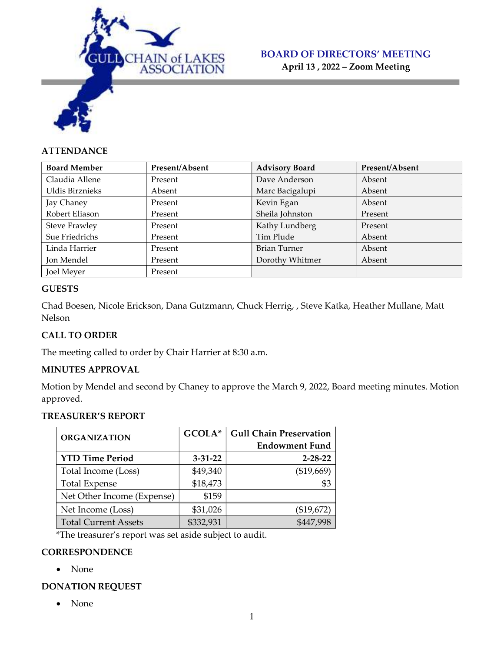

April 13 , 2022 – Zoom Meeting

# **ATTENDANCE**

| <b>Board Member</b>  | Present/Absent | <b>Advisory Board</b> | Present/Absent |
|----------------------|----------------|-----------------------|----------------|
| Claudia Allene       | Present        | Dave Anderson         | Absent         |
| Uldis Birznieks      | Absent         | Marc Bacigalupi       | Absent         |
| Jay Chaney           | Present        | Kevin Egan            | Absent         |
| Robert Eliason       | Present        | Sheila Johnston       | Present        |
| <b>Steve Frawley</b> | Present        | Kathy Lundberg        | Present        |
| Sue Friedrichs       | Present        | Tim Plude             | Absent         |
| Linda Harrier        | Present        | Brian Turner          | Absent         |
| Jon Mendel           | Present        | Dorothy Whitmer       | Absent         |
| Joel Meyer           | Present        |                       |                |

# **GUESTS**

Chad Boesen, Nicole Erickson, Dana Gutzmann, Chuck Herrig, , Steve Katka, Heather Mullane, Matt Nelson

# CALL TO ORDER

The meeting called to order by Chair Harrier at 8:30 a.m.

# MINUTES APPROVAL

Motion by Mendel and second by Chaney to approve the March 9, 2022, Board meeting minutes. Motion approved.

# TREASURER'S REPORT

| <b>ORGANIZATION</b>         | GCOLA*        | <b>Gull Chain Preservation</b> |
|-----------------------------|---------------|--------------------------------|
|                             |               | <b>Endowment Fund</b>          |
| <b>YTD Time Period</b>      | $3 - 31 - 22$ | $2 - 28 - 22$                  |
| Total Income (Loss)         | \$49,340      | (\$19,669)                     |
| <b>Total Expense</b>        | \$18,473      |                                |
| Net Other Income (Expense)  | \$159         |                                |
| Net Income (Loss)           | \$31,026      | (\$19,672)                     |
| <b>Total Current Assets</b> | \$332,931     | \$447.998                      |

\*The treasurer's report was set aside subject to audit.

# **CORRESPONDENCE**

• None

# DONATION REQUEST

• None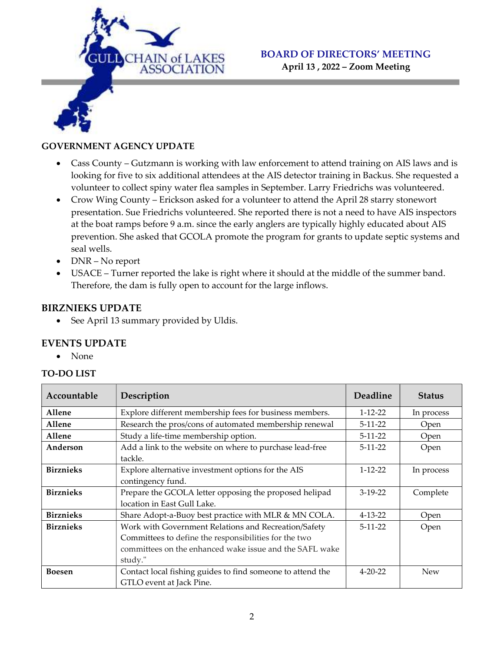

# BOARD OF DIRECTORS' MEETING April 13 , 2022 – Zoom Meeting

#### GOVERNMENT AGENCY UPDATE

- Cass County Gutzmann is working with law enforcement to attend training on AIS laws and is looking for five to six additional attendees at the AIS detector training in Backus. She requested a volunteer to collect spiny water flea samples in September. Larry Friedrichs was volunteered.
- Crow Wing County Erickson asked for a volunteer to attend the April 28 starry stonewort presentation. Sue Friedrichs volunteered. She reported there is not a need to have AIS inspectors at the boat ramps before 9 a.m. since the early anglers are typically highly educated about AIS prevention. She asked that GCOLA promote the program for grants to update septic systems and seal wells.
- DNR No report
- USACE Turner reported the lake is right where it should at the middle of the summer band. Therefore, the dam is fully open to account for the large inflows.

#### BIRZNIEKS UPDATE

See April 13 summary provided by Uldis.

# EVENTS UPDATE

• None

#### TO-DO LIST

| Accountable      | Description                                                | Deadline      | <b>Status</b> |
|------------------|------------------------------------------------------------|---------------|---------------|
| Allene           | Explore different membership fees for business members.    | $1 - 12 - 22$ | In process    |
| Allene           | Research the pros/cons of automated membership renewal     | $5-11-22$     | Open          |
| Allene           | Study a life-time membership option.                       | $5-11-22$     | Open          |
| Anderson         | Add a link to the website on where to purchase lead-free   | $5 - 11 - 22$ | Open          |
|                  | tackle.                                                    |               |               |
| <b>Birznieks</b> | Explore alternative investment options for the AIS         | $1 - 12 - 22$ | In process    |
|                  | contingency fund.                                          |               |               |
| <b>Birznieks</b> | Prepare the GCOLA letter opposing the proposed helipad     | $3-19-22$     | Complete      |
|                  | location in East Gull Lake.                                |               |               |
| <b>Birznieks</b> | Share Adopt-a-Buoy best practice with MLR & MN COLA.       | $4 - 13 - 22$ | Open          |
| <b>Birznieks</b> | Work with Government Relations and Recreation/Safety       | $5-11-22$     | Open          |
|                  | Committees to define the responsibilities for the two      |               |               |
|                  | committees on the enhanced wake issue and the SAFL wake    |               |               |
|                  | study."                                                    |               |               |
| <b>Boesen</b>    | Contact local fishing guides to find someone to attend the | $4 - 20 - 22$ | <b>New</b>    |
|                  | GTLO event at Jack Pine.                                   |               |               |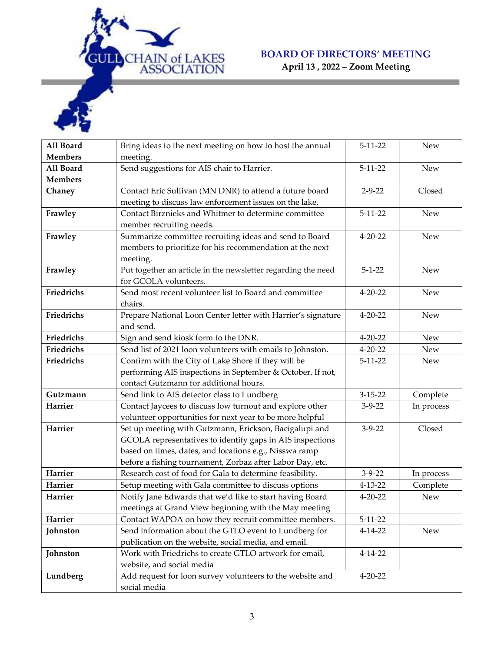

April 13 , 2022 – Zoom Meeting

| All Board      | Bring ideas to the next meeting on how to host the annual    | $5 - 11 - 22$ | <b>New</b> |
|----------------|--------------------------------------------------------------|---------------|------------|
| <b>Members</b> | meeting.                                                     |               |            |
| All Board      | Send suggestions for AIS chair to Harrier.                   | $5 - 11 - 22$ | <b>New</b> |
| <b>Members</b> |                                                              |               |            |
| Chaney         | Contact Eric Sullivan (MN DNR) to attend a future board      | $2 - 9 - 22$  | Closed     |
|                | meeting to discuss law enforcement issues on the lake.       |               |            |
| Frawley        | Contact Birznieks and Whitmer to determine committee         | $5 - 11 - 22$ | <b>New</b> |
|                | member recruiting needs.                                     |               |            |
| Frawley        | Summarize committee recruiting ideas and send to Board       | $4 - 20 - 22$ | <b>New</b> |
|                | members to prioritize for his recommendation at the next     |               |            |
|                | meeting.                                                     |               |            |
| Frawley        | Put together an article in the newsletter regarding the need | $5 - 1 - 22$  | <b>New</b> |
|                | for GCOLA volunteers.                                        |               |            |
| Friedrichs     | Send most recent volunteer list to Board and committee       | $4 - 20 - 22$ | <b>New</b> |
|                | chairs.                                                      |               |            |
| Friedrichs     | Prepare National Loon Center letter with Harrier's signature | $4 - 20 - 22$ | <b>New</b> |
|                | and send.                                                    |               |            |
| Friedrichs     | Sign and send kiosk form to the DNR.                         | $4 - 20 - 22$ | <b>New</b> |
| Friedrichs     | Send list of 2021 loon volunteers with emails to Johnston.   | $4 - 20 - 22$ | <b>New</b> |
| Friedrichs     | Confirm with the City of Lake Shore if they will be          | $5 - 11 - 22$ | <b>New</b> |
|                | performing AIS inspections in September & October. If not,   |               |            |
|                | contact Gutzmann for additional hours.                       |               |            |
| Gutzmann       | Send link to AIS detector class to Lundberg                  | $3 - 15 - 22$ | Complete   |
| Harrier        | Contact Jaycees to discuss low turnout and explore other     | $3 - 9 - 22$  | In process |
|                | volunteer opportunities for next year to be more helpful     |               |            |
| Harrier        | Set up meeting with Gutzmann, Erickson, Bacigalupi and       | $3 - 9 - 22$  | Closed     |
|                | GCOLA representatives to identify gaps in AIS inspections    |               |            |
|                | based on times, dates, and locations e.g., Nisswa ramp       |               |            |
|                | before a fishing tournament, Zorbaz after Labor Day, etc.    |               |            |
| Harrier        | Research cost of food for Gala to determine feasibility.     | $3 - 9 - 22$  | In process |
| Harrier        | Setup meeting with Gala committee to discuss options         | $4 - 13 - 22$ | Complete   |
| Harrier        | Notify Jane Edwards that we'd like to start having Board     | $4 - 20 - 22$ | <b>New</b> |
|                | meetings at Grand View beginning with the May meeting        |               |            |
| Harrier        | Contact WAPOA on how they recruit committee members.         | $5 - 11 - 22$ |            |
| Johnston       | Send information about the GTLO event to Lundberg for        | $4 - 14 - 22$ | New        |
|                | publication on the website, social media, and email.         |               |            |
| Johnston       | Work with Friedrichs to create GTLO artwork for email,       | $4 - 14 - 22$ |            |
|                | website, and social media                                    |               |            |
| Lundberg       | Add request for loon survey volunteers to the website and    | $4 - 20 - 22$ |            |
|                | social media                                                 |               |            |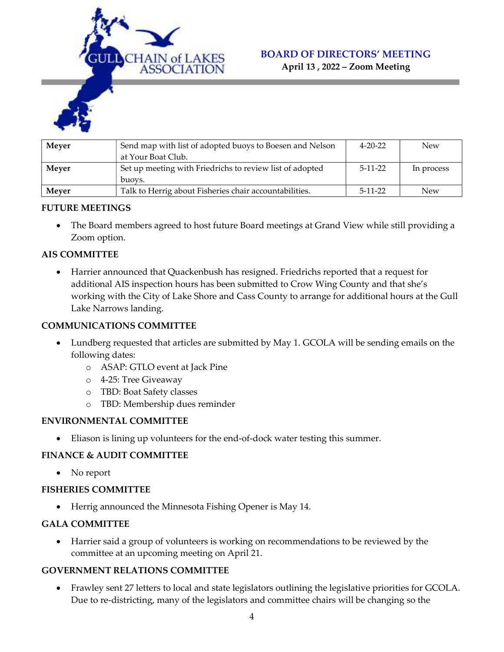

April 13 , 2022 – Zoom Meeting



| Mever | Send map with list of adopted buoys to Boesen and Nelson | $4 - 20 - 22$ | <b>New</b> |
|-------|----------------------------------------------------------|---------------|------------|
|       | at Your Boat Club.                                       |               |            |
| Mever | Set up meeting with Friedrichs to review list of adopted | $5-11-22$     | In process |
|       | buovs.                                                   |               |            |
| Meyer | Talk to Herrig about Fisheries chair accountabilities.   | $5-11-22$     | <b>New</b> |

# FUTURE MEETINGS

 The Board members agreed to host future Board meetings at Grand View while still providing a Zoom option.

# AIS COMMITTEE

 Harrier announced that Quackenbush has resigned. Friedrichs reported that a request for additional AIS inspection hours has been submitted to Crow Wing County and that she's working with the City of Lake Shore and Cass County to arrange for additional hours at the Gull Lake Narrows landing.

#### COMMUNICATIONS COMMITTEE

- Lundberg requested that articles are submitted by May 1. GCOLA will be sending emails on the following dates:
	- o ASAP: GTLO event at Jack Pine
	- o 4-25: Tree Giveaway
	- o TBD: Boat Safety classes
	- o TBD: Membership dues reminder

# ENVIRONMENTAL COMMITTEE

Eliason is lining up volunteers for the end-of-dock water testing this summer.

# FINANCE & AUDIT COMMITTEE

• No report

#### FISHERIES COMMITTEE

Herrig announced the Minnesota Fishing Opener is May 14.

# GALA COMMITTEE

 Harrier said a group of volunteers is working on recommendations to be reviewed by the committee at an upcoming meeting on April 21.

# GOVERNMENT RELATIONS COMMITTEE

 Frawley sent 27 letters to local and state legislators outlining the legislative priorities for GCOLA. Due to re-districting, many of the legislators and committee chairs will be changing so the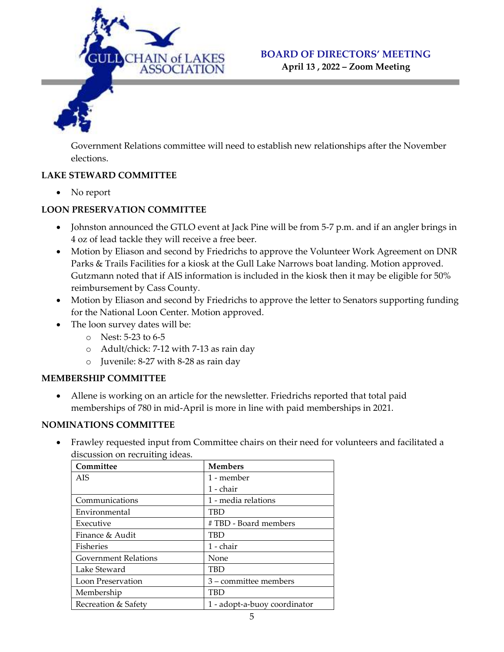

April 13 , 2022 – Zoom Meeting

Government Relations committee will need to establish new relationships after the November elections.

# LAKE STEWARD COMMITTEE

• No report

# LOON PRESERVATION COMMITTEE

- Johnston announced the GTLO event at Jack Pine will be from 5-7 p.m. and if an angler brings in 4 oz of lead tackle they will receive a free beer.
- Motion by Eliason and second by Friedrichs to approve the Volunteer Work Agreement on DNR Parks & Trails Facilities for a kiosk at the Gull Lake Narrows boat landing. Motion approved. Gutzmann noted that if AIS information is included in the kiosk then it may be eligible for 50% reimbursement by Cass County.
- Motion by Eliason and second by Friedrichs to approve the letter to Senators supporting funding for the National Loon Center. Motion approved.
- The loon survey dates will be:
	- o Nest: 5-23 to 6-5
	- o Adult/chick: 7-12 with 7-13 as rain day
	- o Juvenile: 8-27 with 8-28 as rain day

# MEMBERSHIP COMMITTEE

 Allene is working on an article for the newsletter. Friedrichs reported that total paid memberships of 780 in mid-April is more in line with paid memberships in 2021.

# NOMINATIONS COMMITTEE

 Frawley requested input from Committee chairs on their need for volunteers and facilitated a discussion on recruiting ideas.

| Committee                   | <b>Members</b>               |
|-----------------------------|------------------------------|
| <b>AIS</b>                  | 1 - member                   |
|                             | 1 - chair                    |
| Communications              | 1 - media relations          |
| Environmental               | <b>TBD</b>                   |
| Executive                   | # TBD - Board members        |
| Finance & Audit             | TBD                          |
| <b>Fisheries</b>            | 1 - chair                    |
| <b>Government Relations</b> | None                         |
| Lake Steward                | TBD                          |
| Loon Preservation           | 3 – committee members        |
| Membership                  | TBD                          |
| Recreation & Safety         | 1 - adopt-a-buoy coordinator |